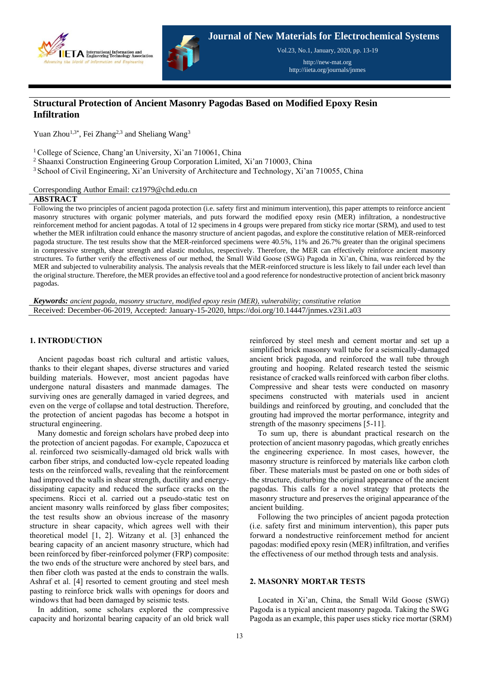

**Journal of New Materials for Electrochemical Systems** Vol.23, No.1, January, 2020, pp. 13-19

> http://new-mat.org http://iieta.org/journals/jnmes

# **Structural Protection of Ancient Masonry Pagodas Based on Modified Epoxy Resin Infiltration**

Yuan Zhou<sup>1,3\*</sup>, Fei Zhang<sup>2,3</sup> and Sheliang Wang<sup>3</sup>

<sup>1</sup> College of Science, Chang'an University, Xi'an 710061, China

<sup>2</sup> Shaanxi Construction Engineering Group Corporation Limited, Xi'an 710003, China

<sup>3</sup> School of Civil Engineering, Xi'an University of Architecture and Technology, Xi'an 710055, China

Corresponding Author Email: cz1979@chd.edu.cn

### **ABSTRACT**

Following the two principles of ancient pagoda protection (i.e. safety first and minimum intervention), this paper attempts to reinforce ancient masonry structures with organic polymer materials, and puts forward the modified epoxy resin (MER) infiltration, a nondestructive reinforcement method for ancient pagodas. A total of 12 specimens in 4 groups were prepared from sticky rice mortar (SRM), and used to test whether the MER infiltration could enhance the masonry structure of ancient pagodas, and explore the constitutive relation of MER-reinforced pagoda structure. The test results show that the MER-reinforced specimens were 40.5%, 11% and 26.7% greater than the original specimens in compressive strength, shear strength and elastic modulus, respectively. Therefore, the MER can effectively reinforce ancient masonry structures. To further verify the effectiveness of our method, the Small Wild Goose (SWG) Pagoda in Xi'an, China, was reinforced by the MER and subjected to vulnerability analysis. The analysis reveals that the MER-reinforced structure is less likely to fail under each level than the original structure. Therefore, the MER provides an effective tool and a good reference for nondestructive protection of ancient brick masonry pagodas.

*Keywords: ancient pagoda, masonry structure, modified epoxy resin (MER), vulnerability; constitutive relation* Received: December-06-2019, Accepted: January-15-2020, https://doi.org/10.14447/jnmes.v23i1.a03

### **1. INTRODUCTION**

Ancient pagodas boast rich cultural and artistic values, thanks to their elegant shapes, diverse structures and varied building materials. However, most ancient pagodas have undergone natural disasters and manmade damages. The surviving ones are generally damaged in varied degrees, and even on the verge of collapse and total destruction. Therefore, the protection of ancient pagodas has become a hotspot in structural engineering.

Many domestic and foreign scholars have probed deep into the protection of ancient pagodas. For example, Capozucca et al. reinforced two seismically-damaged old brick walls with carbon fiber strips, and conducted low-cycle repeated loading tests on the reinforced walls, revealing that the reinforcement had improved the walls in shear strength, ductility and energydissipating capacity and reduced the surface cracks on the specimens. Ricci et al. carried out a pseudo-static test on ancient masonry walls reinforced by glass fiber composites; the test results show an obvious increase of the masonry structure in shear capacity, which agrees well with their theoretical model [1, 2]. Witzany et al. [3] enhanced the bearing capacity of an ancient masonry structure, which had been reinforced by fiber-reinforced polymer (FRP) composite: the two ends of the structure were anchored by steel bars, and then fiber cloth was pasted at the ends to constrain the walls. Ashraf et al. [4] resorted to cement grouting and steel mesh pasting to reinforce brick walls with openings for doors and windows that had been damaged by seismic tests.

In addition, some scholars explored the compressive capacity and horizontal bearing capacity of an old brick wall reinforced by steel mesh and cement mortar and set up a simplified brick masonry wall tube for a seismically-damaged ancient brick pagoda, and reinforced the wall tube through grouting and hooping. Related research tested the seismic resistance of cracked walls reinforced with carbon fiber cloths. Compressive and shear tests were conducted on masonry specimens constructed with materials used in ancient buildings and reinforced by grouting, and concluded that the grouting had improved the mortar performance, integrity and strength of the masonry specimens [5-11].

To sum up, there is abundant practical research on the protection of ancient masonry pagodas, which greatly enriches the engineering experience. In most cases, however, the masonry structure is reinforced by materials like carbon cloth fiber. These materials must be pasted on one or both sides of the structure, disturbing the original appearance of the ancient pagodas. This calls for a novel strategy that protects the masonry structure and preserves the original appearance of the ancient building.

Following the two principles of ancient pagoda protection (i.e. safety first and minimum intervention), this paper puts forward a nondestructive reinforcement method for ancient pagodas: modified epoxy resin (MER) infiltration, and verifies the effectiveness of our method through tests and analysis.

## **2. MASONRY MORTAR TESTS**

Located in Xi'an, China, the Small Wild Goose (SWG) Pagoda is a typical ancient masonry pagoda. Taking the SWG Pagoda as an example, this paper uses sticky rice mortar (SRM)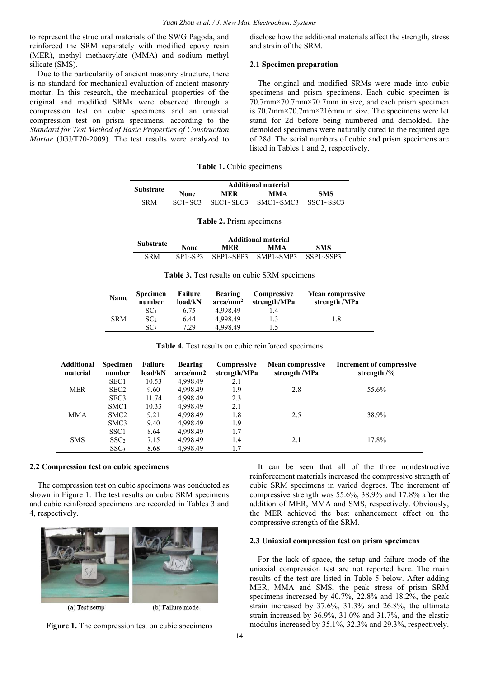to represent the structural materials of the SWG Pagoda, and reinforced the SRM separately with modified epoxy resin (MER), methyl methacrylate (MMA) and sodium methyl silicate (SMS).

Due to the particularity of ancient masonry structure, there is no standard for mechanical evaluation of ancient masonry mortar. In this research, the mechanical properties of the original and modified SRMs were observed through a compression test on cubic specimens and an uniaxial compression test on prism specimens, according to the *Standard for Test Method of Basic Properties of Construction Mortar* (JGJ/T70-2009). The test results were analyzed to

disclose how the additional materials affect the strength, stress and strain of the SRM.

### **2.1 Specimen preparation**

The original and modified SRMs were made into cubic specimens and prism specimens. Each cubic specimen is 70.7mm×70.7mm×70.7mm in size, and each prism specimen is 70.7mm×70.7mm×216mm in size. The specimens were let stand for 2d before being numbered and demolded. The demolded specimens were naturally cured to the required age of 28d. The serial numbers of cubic and prism specimens are listed in Tables 1 and 2, respectively.

**Table 1.** Cubic specimens

|           | <b>Additional material</b> |                  |                  |                  |  |  |  |
|-----------|----------------------------|------------------|------------------|------------------|--|--|--|
| Substrate | None                       | MER              | <b>MMA</b>       | <b>SMS</b>       |  |  |  |
| SR M      | $SC1 \sim SC3$             | $SEC1 \sim SEC3$ | $SMC1 \sim SMC3$ | $SSC1 \sim SSC3$ |  |  |  |

| <b>Table 2.</b> Prism specimens |                            |            |                     |                  |  |  |
|---------------------------------|----------------------------|------------|---------------------|------------------|--|--|
| <b>Substrate</b>                | <b>Additional material</b> |            |                     |                  |  |  |
|                                 | None                       | <b>MER</b> | MMA                 | <b>SMS</b>       |  |  |
| <b>SRM</b>                      | $SP1 \sim SP3$             |            | SEP1~SEP3 SMP1~SMP3 | $SSP1 \sim SSP3$ |  |  |

**Table 3.** Test results on cubic SRM specimens

| Name       | <b>Specimen</b><br>number | Failure<br>load/kN | <b>Bearing</b><br>$area/mm^2$ | Compressive<br>strength/MPa | <b>Mean compressive</b><br>strength /MPa |
|------------|---------------------------|--------------------|-------------------------------|-----------------------------|------------------------------------------|
|            | SC <sub>1</sub>           | 6.75               | 4.998.49                      | 1.4                         |                                          |
| <b>SRM</b> | SC <sub>2</sub>           | 6.44               | 4.998.49                      |                             | 1.8                                      |
|            | SC <sub>3</sub>           | 7.29               | 4.998.49                      |                             |                                          |

| <b>Additional</b><br>material | <b>Specimen</b><br>number | Failure<br>load/kN | <b>Bearing</b><br>area/mm2 | Compressive<br>strength/MPa | <b>Mean compressive</b><br>strength /MPa | Increment of compressive<br>strength $\frac{9}{6}$ |
|-------------------------------|---------------------------|--------------------|----------------------------|-----------------------------|------------------------------------------|----------------------------------------------------|
|                               | SEC1                      | 10.53              | 4.998.49                   | 2.1                         |                                          |                                                    |
| <b>MER</b>                    | SEC <sub>2</sub>          | 9.60               | 4.998.49                   | 1.9                         | 2.8                                      | 55.6%                                              |
|                               | SEC <sub>3</sub>          | 11.74              | 4,998.49                   | 2.3                         |                                          |                                                    |
|                               | SMC <sub>1</sub>          | 10.33              | 4.998.49                   | 2.1                         |                                          |                                                    |
| <b>MMA</b>                    | SMC <sub>2</sub>          | 9.21               | 4.998.49                   | 1.8                         | 2.5                                      | 38.9%                                              |
|                               | SMC <sub>3</sub>          | 9.40               | 4.998.49                   | 1.9                         |                                          |                                                    |
|                               | SSC <sub>1</sub>          | 8.64               | 4.998.49                   | 1.7                         |                                          |                                                    |
| <b>SMS</b>                    | SSC <sub>2</sub>          | 7.15               | 4.998.49                   | 1.4                         | 2.1                                      | 17.8%                                              |
|                               | SSC <sub>3</sub>          | 8.68               | 4.998.49                   | 1.7                         |                                          |                                                    |

|  |  |  | Table 4. Test results on cubic reinforced specimens |  |
|--|--|--|-----------------------------------------------------|--|
|  |  |  |                                                     |  |

#### **2.2 Compression test on cubic specimens**

The compression test on cubic specimens was conducted as shown in Figure 1. The test results on cubic SRM specimens and cubic reinforced specimens are recorded in Tables 3 and 4, respectively.



(a) Test setup

(b) Failure mode



14

It can be seen that all of the three nondestructive reinforcement materials increased the compressive strength of cubic SRM specimens in varied degrees. The increment of compressive strength was 55.6%, 38.9% and 17.8% after the addition of MER, MMA and SMS, respectively. Obviously, the MER achieved the best enhancement effect on the compressive strength of the SRM.

#### **2.3 Uniaxial compression test on prism specimens**

For the lack of space, the setup and failure mode of the uniaxial compression test are not reported here. The main results of the test are listed in Table 5 below. After adding MER, MMA and SMS, the peak stress of prism SRM specimens increased by 40.7%, 22.8% and 18.2%, the peak strain increased by 37.6%, 31.3% and 26.8%, the ultimate strain increased by 36.9%, 31.0% and 31.7%, and the elastic modulus increased by 35.1%, 32.3% and 29.3%, respectively.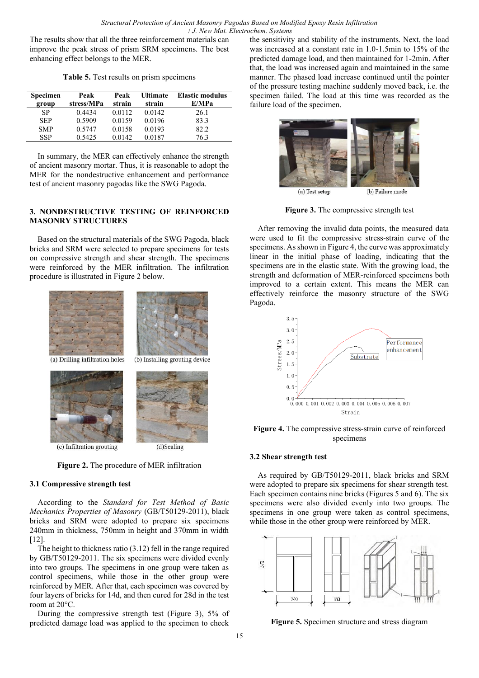The results show that all the three reinforcement materials can improve the peak stress of prism SRM specimens. The best enhancing effect belongs to the MER.

**Table 5.** Test results on prism specimens

| <b>Specimen</b><br>group | Peak<br>stress/MPa | Peak<br>strain | <b>Ultimate</b><br>strain | <b>Elastic modulus</b><br>E/MPa |
|--------------------------|--------------------|----------------|---------------------------|---------------------------------|
| SP                       | 0.4434             | 0.0112         | 0.0142                    | 26.1                            |
| <b>SEP</b>               | 0.5909             | 0.0159         | 0.0196                    | 83.3                            |
| <b>SMP</b>               | 0.5747             | 0.0158         | 0.0193                    | 82.2                            |
| <b>SSP</b>               | 0.5425             | 0.0142         | 0.0187                    | 76.3                            |

In summary, the MER can effectively enhance the strength of ancient masonry mortar. Thus, it is reasonable to adopt the MER for the nondestructive enhancement and performance test of ancient masonry pagodas like the SWG Pagoda.

## **3. NONDESTRUCTIVE TESTING OF REINFORCED MASONRY STRUCTURES**

Based on the structural materials of the SWG Pagoda, black bricks and SRM were selected to prepare specimens for tests on compressive strength and shear strength. The specimens were reinforced by the MER infiltration. The infiltration procedure is illustrated in Figure 2 below.



(c) Infiltration grouting



## **3.1 Compressive strength test**

According to the *Standard for Test Method of Basic Mechanics Properties of Masonry* (GB/T50129-2011), black bricks and SRM were adopted to prepare six specimens 240mm in thickness, 750mm in height and 370mm in width [12].

The height to thickness ratio (3.12) fell in the range required by GB/T50129-2011. The six specimens were divided evenly into two groups. The specimens in one group were taken as control specimens, while those in the other group were reinforced by MER. After that, each specimen was covered by four layers of bricks for 14d, and then cured for 28d in the test room at 20°C.

During the compressive strength test (Figure 3), 5% of predicted damage load was applied to the specimen to check the sensitivity and stability of the instruments. Next, the load was increased at a constant rate in 1.0-1.5min to 15% of the predicted damage load, and then maintained for 1-2min. After that, the load was increased again and maintained in the same manner. The phased load increase continued until the pointer of the pressure testing machine suddenly moved back, i.e. the specimen failed. The load at this time was recorded as the failure load of the specimen.



**Figure 3.** The compressive strength test

After removing the invalid data points, the measured data were used to fit the compressive stress-strain curve of the specimens. As shown in Figure 4, the curve was approximately linear in the initial phase of loading, indicating that the specimens are in the elastic state. With the growing load, the strength and deformation of MER-reinforced specimens both improved to a certain extent. This means the MER can effectively reinforce the masonry structure of the SWG Pagoda.



**Figure 4.** The compressive stress-strain curve of reinforced specimens

### **3.2 Shear strength test**

As required by GB/T50129-2011, black bricks and SRM were adopted to prepare six specimens for shear strength test. Each specimen contains nine bricks (Figures 5 and 6). The six specimens were also divided evenly into two groups. The specimens in one group were taken as control specimens, while those in the other group were reinforced by MER.



**Figure 5.** Specimen structure and stress diagram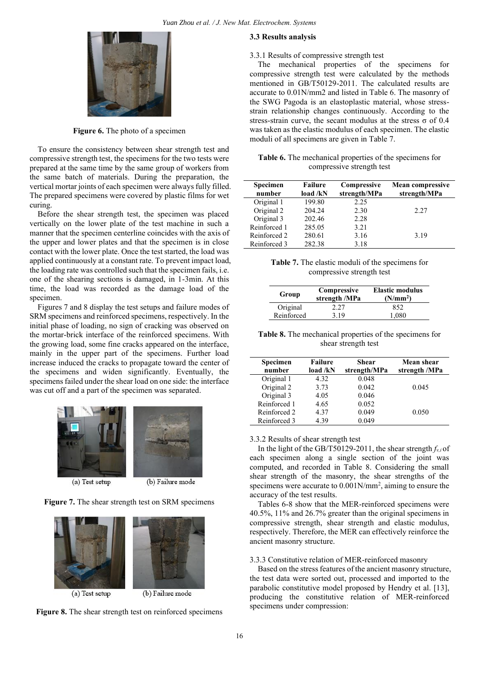

**Figure 6.** The photo of a specimen

To ensure the consistency between shear strength test and compressive strength test, the specimens for the two tests were prepared at the same time by the same group of workers from the same batch of materials. During the preparation, the vertical mortar joints of each specimen were always fully filled. The prepared specimens were covered by plastic films for wet curing.

Before the shear strength test, the specimen was placed vertically on the lower plate of the test machine in such a manner that the specimen centerline coincides with the axis of the upper and lower plates and that the specimen is in close contact with the lower plate. Once the test started, the load was applied continuously at a constant rate. To prevent impact load, the loading rate was controlled such that the specimen fails, i.e. one of the shearing sections is damaged, in 1-3min. At this time, the load was recorded as the damage load of the specimen.

Figures 7 and 8 display the test setups and failure modes of SRM specimens and reinforced specimens, respectively. In the initial phase of loading, no sign of cracking was observed on the mortar-brick interface of the reinforced specimens. With the growing load, some fine cracks appeared on the interface, mainly in the upper part of the specimens. Further load increase induced the cracks to propagate toward the center of the specimens and widen significantly. Eventually, the specimens failed under the shear load on one side: the interface was cut off and a part of the specimen was separated.



(a) Test setup









## **3.3 Results analysis**

#### 3.3.1 Results of compressive strength test

The mechanical properties of the specimens for compressive strength test were calculated by the methods mentioned in GB/T50129-2011. The calculated results are accurate to 0.01N/mm2 and listed in Table 6. The masonry of the SWG Pagoda is an elastoplastic material, whose stressstrain relationship changes continuously. According to the stress-strain curve, the secant modulus at the stress  $\sigma$  of 0.4 was taken as the elastic modulus of each specimen. The elastic moduli of all specimens are given in Table 7.

| Table 6. The mechanical properties of the specimens for |  |
|---------------------------------------------------------|--|
| compressive strength test                               |  |

| Specimen<br>number | <b>Failure</b><br>load / kN | Compressive<br>strength/MPa | <b>Mean compressive</b><br>strength/MPa |
|--------------------|-----------------------------|-----------------------------|-----------------------------------------|
| Original 1         | 199.80                      | 2.25                        |                                         |
| Original 2         | 204.24                      | 2.30                        | 2.27                                    |
| Original 3         | 202.46                      | 2.28                        |                                         |
| Reinforced 1       | 285.05                      | 3.21                        |                                         |
| Reinforced 2       | 280.61                      | 3.16                        | 3.19                                    |
| Reinforced 3       | 282.38                      | 3.18                        |                                         |

**Table 7.** The elastic moduli of the specimens for compressive strength test

| Group      | Compressive<br>strength /MPa | <b>Elastic modulus</b><br>(N/mm <sup>2</sup> ) |
|------------|------------------------------|------------------------------------------------|
| Original   | 2.27                         | 852                                            |
| Reinforced | 3.19                         | 1.080                                          |

**Table 8.** The mechanical properties of the specimens for shear strength test

| Specimen<br>number | <b>Failure</b><br>load /kN | Shear<br>strength/MPa | Mean shear<br>strength /MPa |
|--------------------|----------------------------|-----------------------|-----------------------------|
| Original 1         | 4.32                       | 0.048                 |                             |
| Original 2         | 3.73                       | 0.042                 | 0.045                       |
| Original 3         | 4.05                       | 0.046                 |                             |
| Reinforced 1       | 4.65                       | 0.052                 |                             |
| Reinforced 2       | 4.37                       | 0.049                 | 0.050                       |
| Reinforced 3       | 4.39                       | 0.049                 |                             |

## 3.3.2 Results of shear strength test

In the light of the GB/T50129-2011, the shear strength  $f_{\nu,i}$  of each specimen along a single section of the joint was computed, and recorded in Table 8. Considering the small shear strength of the masonry, the shear strengths of the specimens were accurate to  $0.001$ N/mm<sup>2</sup>, aiming to ensure the accuracy of the test results.

Tables 6-8 show that the MER-reinforced specimens were 40.5%, 11% and 26.7% greater than the original specimens in compressive strength, shear strength and elastic modulus, respectively. Therefore, the MER can effectively reinforce the ancient masonry structure.

#### 3.3.3 Constitutive relation of MER-reinforced masonry

Based on the stress features of the ancient masonry structure, the test data were sorted out, processed and imported to the parabolic constitutive model proposed by Hendry et al. [13], producing the constitutive relation of MER-reinforced specimens under compression: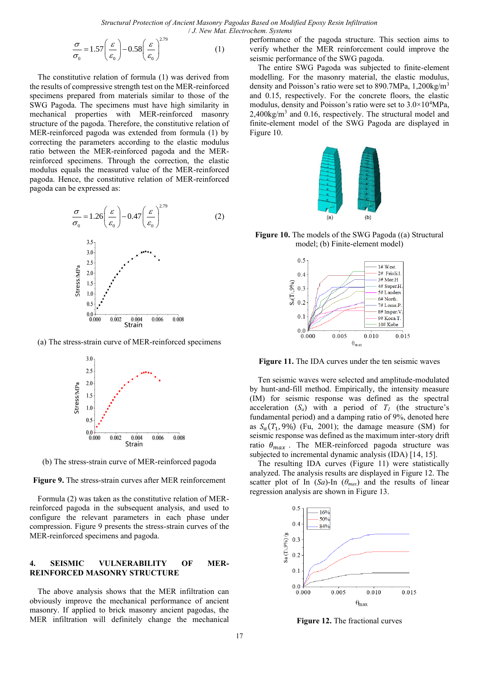*Structural Protection of Ancient Masonry Pagodas Based on Modified Epoxy Resin Infiltration* / *J. New Mat. Electrochem. Systems*

$$
\frac{\sigma}{\sigma_0} = 1.57 \left(\frac{\varepsilon}{\varepsilon_0}\right) - 0.58 \left(\frac{\varepsilon}{\varepsilon_0}\right)^{2.79} \tag{1}
$$

The constitutive relation of formula (1) was derived from the results of compressive strength test on the MER-reinforced specimens prepared from materials similar to those of the SWG Pagoda. The specimens must have high similarity in mechanical properties with MER-reinforced masonry structure of the pagoda. Therefore, the constitutive relation of MER-reinforced pagoda was extended from formula (1) by correcting the parameters according to the elastic modulus ratio between the MER-reinforced pagoda and the MERreinforced specimens. Through the correction, the elastic modulus equals the measured value of the MER-reinforced pagoda. Hence, the constitutive relation of MER-reinforced pagoda can be expressed as:



(a) The stress-strain curve of MER-reinforced specimens



(b) The stress-strain curve of MER-reinforced pagoda

**Figure 9.** The stress-strain curves after MER reinforcement

Formula (2) was taken as the constitutive relation of MERreinforced pagoda in the subsequent analysis, and used to configure the relevant parameters in each phase under compression. Figure 9 presents the stress-strain curves of the MER-reinforced specimens and pagoda.

#### **4. SEISMIC VULNERABILITY OF MER-REINFORCED MASONRY STRUCTURE**

The above analysis shows that the MER infiltration can obviously improve the mechanical performance of ancient masonry. If applied to brick masonry ancient pagodas, the MER infiltration will definitely change the mechanical performance of the pagoda structure. This section aims to verify whether the MER reinforcement could improve the seismic performance of the SWG pagoda.

The entire SWG Pagoda was subjected to finite-element modelling. For the masonry material, the elastic modulus, density and Poisson's ratio were set to 890.7MPa, 1,200kg/m<sup>3</sup> and 0.15, respectively. For the concrete floors, the elastic modulus, density and Poisson's ratio were set to 3.0×10<sup>4</sup>MPa, 2,400kg/m<sup>3</sup> and 0.16, respectively. The structural model and finite-element model of the SWG Pagoda are displayed in Figure 10.



**Figure 10.** The models of the SWG Pagoda ((a) Structural model; (b) Finite-element model)



**Figure 11.** The IDA curves under the ten seismic waves

Ten seismic waves were selected and amplitude-modulated by hunt-and-fill method. Empirically, the intensity measure (IM) for seismic response was defined as the spectral acceleration  $(S_a)$  with a period of  $T<sub>I</sub>$  (the structure's fundamental period) and a damping ratio of 9%, denoted here as  $S_a(T_1, 9\%)$  (Fu, 2001); the damage measure (SM) for seismic response was defined as the maximum inter-story drift ratio  $\theta_{max}$ . The MER-reinforced pagoda structure was subjected to incremental dynamic analysis (IDA) [14, 15].

The resulting IDA curves (Figure 11) were statistically analyzed. The analysis results are displayed in Figure 12. The scatter plot of In  $(Sa)$ -In  $(\theta_{max})$  and the results of linear regression analysis are shown in Figure 13.



**Figure 12.** The fractional curves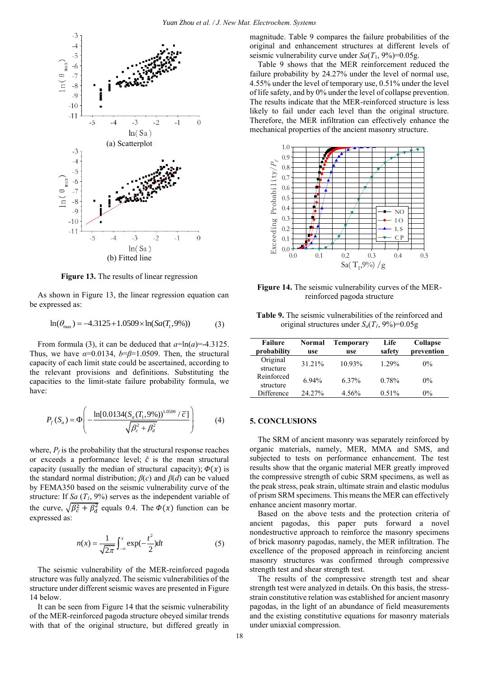

**Figure 13.** The results of linear regression

As shown in Figure 13, the linear regression equation can be expressed as:

$$
\ln(\theta_{\text{max}}) = -4.3125 + 1.0509 \times \ln(Sa(T_1, 9\%))
$$
 (3)

From formula (3), it can be deduced that  $a=\ln(a)=4.3125$ . Thus, we have  $\alpha=0.0134$ ,  $b=\beta=1.0509$ . Then, the structural capacity of each limit state could be ascertained, according to the relevant provisions and definitions. Substituting the capacities to the limit-state failure probability formula, we have:

$$
P_f(S_a) = \Phi\left(-\frac{\ln[0.0134(S_a(T_1, 9\%))^{1.0509} / \bar{c}]}{\sqrt{\beta_c^2 + \beta_d^2}}\right) \tag{4}
$$

where,  $P_f$  is the probability that the structural response reaches or exceeds a performance level;  $\bar{c}$  is the mean structural capacity (usually the median of structural capacity);  $\phi(x)$  is the standard normal distribution; *β*(*c*) and *β*(*d*) can be valued by FEMA350 based on the seismic vulnerability curve of the structure: If *Sa* (*T1*, 9%) serves as the independent variable of the curve,  $\sqrt{\beta_c^2 + \beta_d^2}$  equals 0.4. The  $\Phi(x)$  function can be expressed as:

$$
n(x) = \frac{1}{\sqrt{2\pi}} \int_{-\infty}^{x} \exp(-\frac{t^2}{2}) dt
$$
 (5)

The seismic vulnerability of the MER-reinforced pagoda structure was fully analyzed. The seismic vulnerabilities of the structure under different seismic waves are presented in Figure 14 below.

It can be seen from Figure 14 that the seismic vulnerability of the MER-reinforced pagoda structure obeyed similar trends with that of the original structure, but differed greatly in magnitude. Table 9 compares the failure probabilities of the original and enhancement structures at different levels of seismic vulnerability curve under  $Sa(T_1, 9\%) = 0.05g$ .

Table 9 shows that the MER reinforcement reduced the failure probability by 24.27% under the level of normal use, 4.55% under the level of temporary use, 0.51% under the level of life safety, and by 0% under the level of collapse prevention. The results indicate that the MER-reinforced structure is less likely to fail under each level than the original structure. Therefore, the MER infiltration can effectively enhance the mechanical properties of the ancient masonry structure.



**Figure 14.** The seismic vulnerability curves of the MERreinforced pagoda structure

**Table 9.** The seismic vulnerabilities of the reinforced and original structures under  $S_a(T_I, 9\%) = 0.05g$ 

| <b>Failure</b><br>probability | Normal<br>use | <b>Temporary</b><br>use | Life<br>safety | Collapse<br>prevention |
|-------------------------------|---------------|-------------------------|----------------|------------------------|
| Original<br>structure         | 31.21%        | 10.93%                  | $1.29\%$       | $0\%$                  |
| Reinforced<br>structure       | 6.94%         | 6.37%                   | 0.78%          | $0\%$                  |
| Difference                    | 24.27%        | 4.56%                   | $0.51\%$       | $0\%$                  |

## **5. CONCLUSIONS**

The SRM of ancient masonry was separately reinforced by organic materials, namely, MER, MMA and SMS, and subjected to tests on performance enhancement. The test results show that the organic material MER greatly improved the compressive strength of cubic SRM specimens, as well as the peak stress, peak strain, ultimate strain and elastic modulus of prism SRM specimens. This means the MER can effectively enhance ancient masonry mortar.

Based on the above tests and the protection criteria of ancient pagodas, this paper puts forward a novel nondestructive approach to reinforce the masonry specimens of brick masonry pagodas, namely, the MER infiltration. The excellence of the proposed approach in reinforcing ancient masonry structures was confirmed through compressive strength test and shear strength test.

The results of the compressive strength test and shear strength test were analyzed in details. On this basis, the stressstrain constitutive relation was established for ancient masonry pagodas, in the light of an abundance of field measurements and the existing constitutive equations for masonry materials under uniaxial compression.